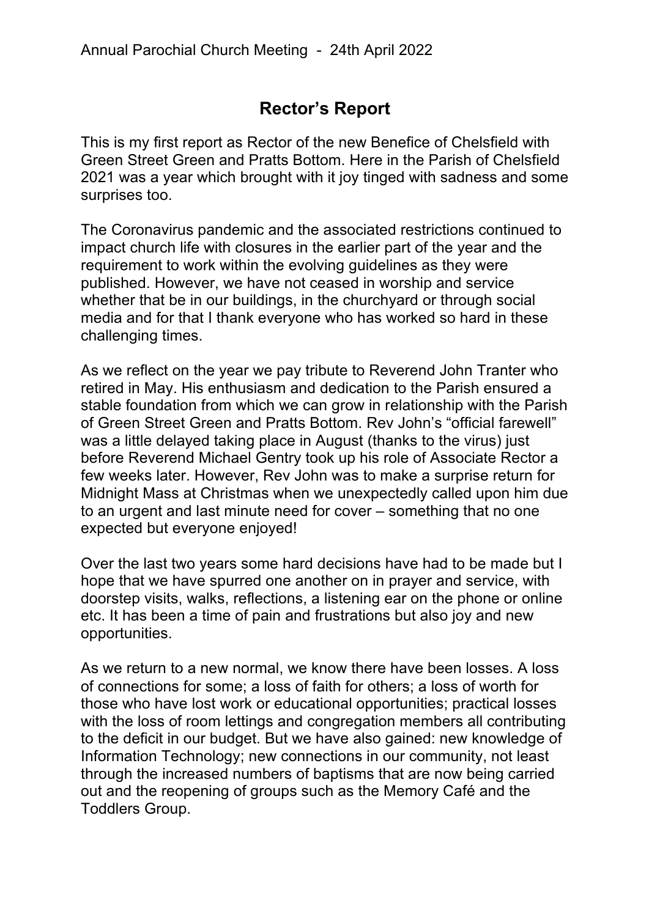## **Rector's Report**

This is my first report as Rector of the new Benefice of Chelsfield with Green Street Green and Pratts Bottom. Here in the Parish of Chelsfield 2021 was a year which brought with it joy tinged with sadness and some surprises too.

The Coronavirus pandemic and the associated restrictions continued to impact church life with closures in the earlier part of the year and the requirement to work within the evolving guidelines as they were published. However, we have not ceased in worship and service whether that be in our buildings, in the churchyard or through social media and for that I thank everyone who has worked so hard in these challenging times.

As we reflect on the year we pay tribute to Reverend John Tranter who retired in May. His enthusiasm and dedication to the Parish ensured a stable foundation from which we can grow in relationship with the Parish of Green Street Green and Pratts Bottom. Rev John's "official farewell" was a little delayed taking place in August (thanks to the virus) just before Reverend Michael Gentry took up his role of Associate Rector a few weeks later. However, Rev John was to make a surprise return for Midnight Mass at Christmas when we unexpectedly called upon him due to an urgent and last minute need for cover – something that no one expected but everyone enjoyed!

Over the last two years some hard decisions have had to be made but I hope that we have spurred one another on in prayer and service, with doorstep visits, walks, reflections, a listening ear on the phone or online etc. It has been a time of pain and frustrations but also joy and new opportunities.

As we return to a new normal, we know there have been losses. A loss of connections for some; a loss of faith for others; a loss of worth for those who have lost work or educational opportunities; practical losses with the loss of room lettings and congregation members all contributing to the deficit in our budget. But we have also gained: new knowledge of Information Technology; new connections in our community, not least through the increased numbers of baptisms that are now being carried out and the reopening of groups such as the Memory Café and the Toddlers Group.